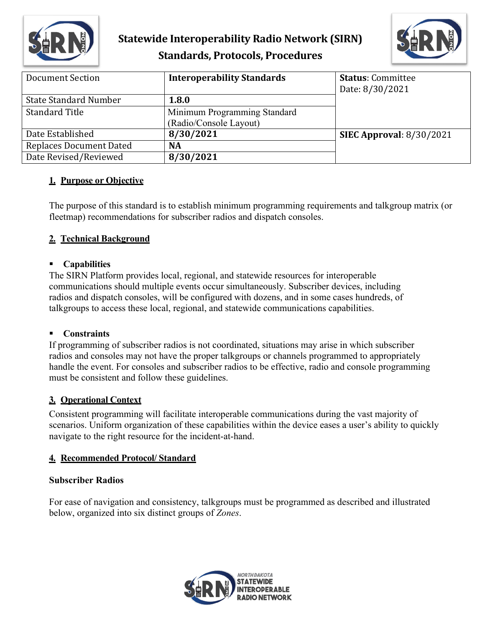

# **Statewide Interoperability Radio Network (SIRN) Standards, Protocols, Procedures**



| Document Section               | <b>Interoperability Standards</b> | <b>Status: Committee</b>   |
|--------------------------------|-----------------------------------|----------------------------|
|                                |                                   | Date: 8/30/2021            |
| <b>State Standard Number</b>   | 1.8.0                             |                            |
| <b>Standard Title</b>          | Minimum Programming Standard      |                            |
|                                | (Radio/Console Layout)            |                            |
| Date Established               | 8/30/2021                         | SIEC Approval: $8/30/2021$ |
| <b>Replaces Document Dated</b> | <b>NA</b>                         |                            |
| Date Revised/Reviewed          | 8/30/2021                         |                            |

## **1. Purpose or Objective**

The purpose of this standard is to establish minimum programming requirements and talkgroup matrix (or fleetmap) recommendations for subscriber radios and dispatch consoles.

## **2. Technical Background**

### **Capabilities**

The SIRN Platform provides local, regional, and statewide resources for interoperable communications should multiple events occur simultaneously. Subscriber devices, including radios and dispatch consoles, will be configured with dozens, and in some cases hundreds, of talkgroups to access these local, regional, and statewide communications capabilities.

### **Constraints**

If programming of subscriber radios is not coordinated, situations may arise in which subscriber radios and consoles may not have the proper talkgroups or channels programmed to appropriately handle the event. For consoles and subscriber radios to be effective, radio and console programming must be consistent and follow these guidelines.

### **3. Operational Context**

Consistent programming will facilitate interoperable communications during the vast majority of scenarios. Uniform organization of these capabilities within the device eases a user's ability to quickly navigate to the right resource for the incident-at-hand.

### **4. Recommended Protocol/ Standard**

### **Subscriber Radios**

For ease of navigation and consistency, talkgroups must be programmed as described and illustrated below, organized into six distinct groups of *Zones*.

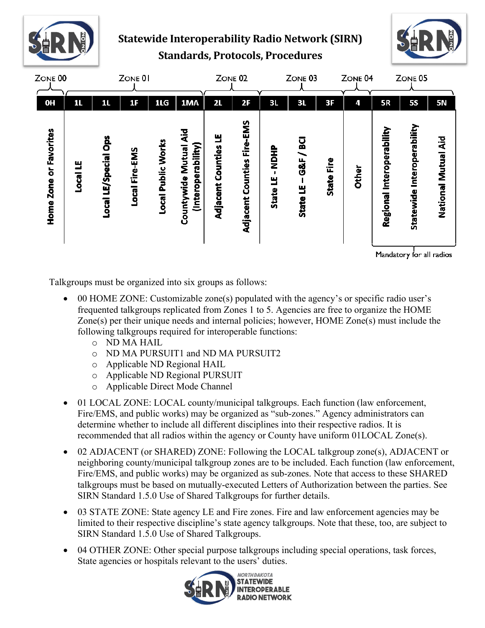

# **Statewide Interoperability Radio Network (SIRN) Standards, Protocols, Procedures**





Talkgroups must be organized into six groups as follows:

- 00 HOME ZONE: Customizable zone(s) populated with the agency's or specific radio user's frequented talkgroups replicated from Zones 1 to 5. Agencies are free to organize the HOME Zone(s) per their unique needs and internal policies; however, HOME Zone(s) must include the following talkgroups required for interoperable functions:
	- o ND MA HAIL
	- o ND MA PURSUIT1 and ND MA PURSUIT2
	- o Applicable ND Regional HAIL
	- o Applicable ND Regional PURSUIT
	- o Applicable Direct Mode Channel
- 01 LOCAL ZONE: LOCAL county/municipal talkgroups. Each function (law enforcement, Fire/EMS, and public works) may be organized as "sub-zones." Agency administrators can determine whether to include all different disciplines into their respective radios. It is recommended that all radios within the agency or County have uniform 01LOCAL Zone(s).
- 02 ADJACENT (or SHARED) ZONE: Following the LOCAL talkgroup zone(s), ADJACENT or neighboring county/municipal talkgroup zones are to be included. Each function (law enforcement, Fire/EMS, and public works) may be organized as sub-zones. Note that access to these SHARED talkgroups must be based on mutually-executed Letters of Authorization between the parties. See SIRN Standard 1.5.0 Use of Shared Talkgroups for further details.
- 03 STATE ZONE: State agency LE and Fire zones. Fire and law enforcement agencies may be limited to their respective discipline's state agency talkgroups. Note that these, too, are subject to SIRN Standard 1.5.0 Use of Shared Talkgroups.
- 04 OTHER ZONE: Other special purpose talkgroups including special operations, task forces, State agencies or hospitals relevant to the users' duties.

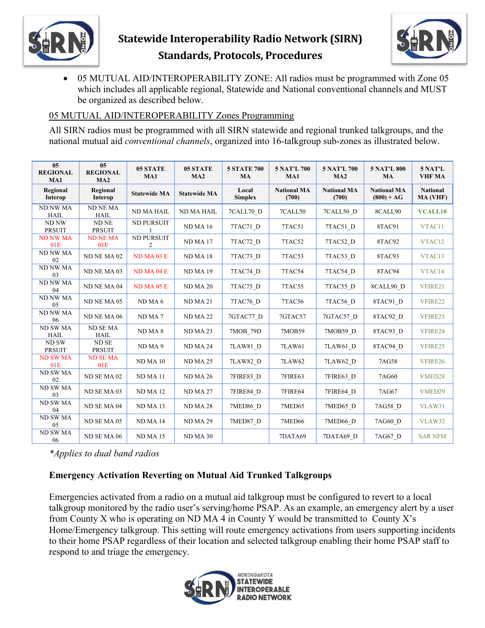



• 05 MUTUAL AID/INTEROPERABILITY ZONE: All radios must be programmed with Zone 05 which includes all applicable regional, Statewide and National conventional channels and MUST be organized as described below.

## 05 MUTUAL AID/INTEROPERABILITY Zones Programming

All SIRN radios must be programmed with all SIRN statewide and regional trunked talkgroups, and the national mutual aid *conventional channels*, organized into 16-talkgroup sub-zones as illustrated below.

| 0 <sub>5</sub><br><b>REGIONAL</b><br>MA1 | 0 <sub>5</sub><br><b>REGIONAL</b><br>MA2 | 05 STATE<br>MA1                     | 05 STATE<br>MA2     | <b>5 STATE 700</b><br><b>MA</b> | <b>5 NAT'L 700</b><br>MA1   | 5 NAT'L 700<br>MA2          | <b>5 NAT'L 800</b><br><b>MA</b>    | 5 NAT'L<br><b>VHF MA</b>           |
|------------------------------------------|------------------------------------------|-------------------------------------|---------------------|---------------------------------|-----------------------------|-----------------------------|------------------------------------|------------------------------------|
| Regional<br>Interop                      | Regional<br>Interop                      | <b>Statewide MA</b>                 | <b>Statewide MA</b> | Local<br><b>Simplex</b>         | <b>National MA</b><br>(700) | <b>National MA</b><br>(700) | <b>National MA</b><br>$(800) + AG$ | <b>National</b><br><b>MA (VHF)</b> |
| ND NW MA<br><b>HAIL</b>                  | ND NE MA<br><b>HAIL</b>                  | <b>ND MA HAIL</b>                   | ND MA HAIL          | 7CALL70 D                       | 7CALL50                     | 7CALL50 D                   | 8CALL90                            | <b>VCALL10</b>                     |
| ND NW<br><b>PRSUIT</b>                   | ND <sub>NE</sub><br><b>PRSUIT</b>        | ND PURSUIT<br>$\mathbf{1}$          | <b>ND MA 16</b>     | 7TAC71 D                        | 7TAC51                      | 7TAC51 D                    | 8TAC91                             | VTAC11                             |
| <b>ND NW MA</b><br>01E                   | <b>ND NE MA</b><br>01E                   | <b>ND PURSUIT</b><br>$\overline{c}$ | ND MA <sub>17</sub> | 7TAC72 D                        | 7TAC52                      | 7TAC52 D                    | 8TAC92                             | VTAC12                             |
| ND NW MA<br>02                           | ND NE MA 02                              | ND MA 03 E                          | ND MA <sub>18</sub> | 7TAC73 D                        | 7TAC53                      | 7TAC53 D                    | 8TAC93                             | VTAC13                             |
| ND NW MA<br>03                           | ND NE MA 03                              | ND MA 04 E                          | ND MA <sub>19</sub> | 7TAC74 D                        | 7TAC54                      | 7TAC54 D                    | 8TAC94                             | VTAC14                             |
| ND NW MA<br>04                           | ND NE MA 04                              | ND MA 05 E                          | <b>ND MA 20</b>     | 7TAC75_D                        | 7TAC55                      | 7TAC55_D                    | 8CALL90 D                          | VFIRE21                            |
| ND NW MA<br>05                           | ND NE MA 05                              | ND MA6                              | ND MA 21            | 7TAC76 D                        | 7TAC56                      | 7TAC56 D                    | 8TAC91 D                           | VFIRE22                            |
| ND NW MA<br>06                           | ND NE MA 06                              | ND MA <sub>7</sub>                  | <b>ND MA 22</b>     | 7GTAC77 D                       | 7GTAC57                     | 7GTAC57 D                   | 8TAC92 D                           | VFIRE23                            |
| <b>ND SW MA</b><br><b>HAIL</b>           | <b>ND SE MA</b><br><b>HAIL</b>           | ND MA <sub>8</sub>                  | ND MA 23            | 7MOB 79D                        | 7MOB59                      | 7MOB59 D                    | 8TAC93 D                           | VFIRE24                            |
| ND SW<br><b>PRSUIT</b>                   | ND SE<br><b>PRSUIT</b>                   | ND <sub>MA</sub> 9                  | <b>ND MA 24</b>     | 7LAW81 D                        | 7LAW61                      | 7LAW61 D                    | 8TAC94 D                           | VFIRE25                            |
| <b>ND SW MA</b><br>01E                   | <b>ND SE MA</b><br>01E                   | ND <sub>MA</sub> 10                 | ND MA 25            | 7LAW82 D                        | 7LAW62                      | 7LAW62 D                    | 7AG58                              | VFIRE26                            |
| <b>ND SW MA</b><br>02                    | ND SE MA 02                              | ND <sub>MA11</sub>                  | <b>ND MA 26</b>     | 7FIRE83 D                       | 7FIRE63                     | 7FIRE63 D                   | 7AG60                              | VMED <sub>28</sub>                 |
| ND SW MA<br>03                           | ND SE MA 03                              | ND <sub>MA</sub> 12                 | <b>ND MA 27</b>     | 7FIRE84 D                       | 7FIRE64                     | 7FIRE64 D                   | 7AG67                              | VMED29                             |
| ND SW MA<br>04                           | ND SE MA 04                              | ND MA13                             | ND MA 28            | 7MED86 D                        | 7MED65                      | 7MED65_D                    | 7AG58 D                            | VLAW31                             |
| ND SW MA<br>05                           | ND SE MA 05                              | ND MA 14                            | ND MA 29            | 7MED87_D                        | 7MED66                      | 7MED66 D                    | 7AG60 D                            | VLAW32                             |
| ND SW MA<br>06                           | ND SE MA 06                              | ND MA <sub>15</sub>                 | ND MA 30            |                                 | 7DATA69                     | 7DATA69 D                   | 7AG67_D                            | <b>SAR NFM</b>                     |

*\*Applies to dual band radios*

# **Emergency Activation Reverting on Mutual Aid Trunked Talkgroups**

Emergencies activated from a radio on a mutual aid talkgroup must be configured to revert to a local talkgroup monitored by the radio user's serving/home PSAP. As an example, an emergency alert by a user from County X who is operating on ND MA 4 in County Y would be transmitted to County  $X$ 's Home/Emergency talkgroup. This setting will route emergency activations from users supporting incidents to their home PSAP regardless of their location and selected talkgroup enabling their home PSAP staff to respond to and triage the emergency.

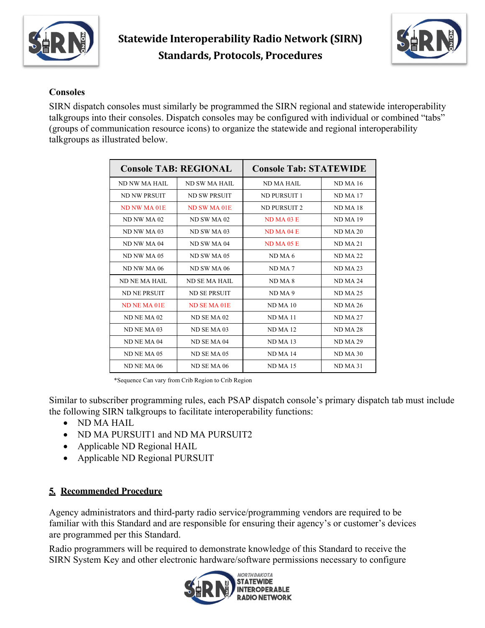



### **Consoles**

SIRN dispatch consoles must similarly be programmed the SIRN regional and statewide interoperability talkgroups into their consoles. Dispatch consoles may be configured with individual or combined "tabs" (groups of communication resource icons) to organize the statewide and regional interoperability talkgroups as illustrated below.

|               | <b>Console TAB: REGIONAL</b> | <b>Console Tab: STATEWIDE</b> |                     |  |  |
|---------------|------------------------------|-------------------------------|---------------------|--|--|
| ND NW MA HAIL | ND SW MA HAIL                | ND MA HAIL                    | ND <sub>MA</sub> 16 |  |  |
| ND NW PRSUIT  | ND SW PRSUIT                 | ND PURSUIT 1                  | <b>ND MA 17</b>     |  |  |
| ND NW MA 01E  | ND SW MA 01E                 | ND PURSUIT 2                  | ND MA <sub>18</sub> |  |  |
| ND NW MA 02   | ND SW MA 02                  | ND MA 03 E                    | ND MA <sub>19</sub> |  |  |
| ND NW MA 03   | ND SW MA 03                  | ND MA 04 E                    | <b>ND MA 20</b>     |  |  |
| ND NW MA 04   | ND SW MA 04                  | ND MA <sub>05</sub> E         | <b>ND MA 21</b>     |  |  |
| ND NW MA 05   | ND SW MA 05                  | ND MA 6                       | <b>ND MA 22</b>     |  |  |
| ND NW MA 06   | ND SW MA 06                  | ND MA <sub>7</sub>            | <b>ND MA 23</b>     |  |  |
| ND NE MA HAIL | ND SE MA HAIL                | ND MA 8                       | <b>ND MA 24</b>     |  |  |
| ND NE PRSUIT  | ND SE PRSUIT                 | ND <sub>MA</sub> 9            | <b>ND MA 25</b>     |  |  |
| ND NE MA 01E  | ND SE MA 01E                 | ND MA <sub>10</sub>           | <b>ND MA 26</b>     |  |  |
| ND NE MA 02   | ND SE MA 02                  | ND MA <sub>11</sub>           | <b>ND MA 27</b>     |  |  |
| ND NE MA 03   | ND SE MA 03                  | ND MA <sub>12</sub>           | <b>ND MA 28</b>     |  |  |
| ND NE MA 04   | ND SE MA 04                  | ND MA <sub>13</sub>           | <b>ND MA 29</b>     |  |  |
| ND NE MA 05   | ND SE MA 05                  | <b>ND MA 14</b>               | ND MA 30            |  |  |
| ND NE MA 06   | ND SE MA 06                  | <b>ND MA 15</b>               | ND MA 31            |  |  |

\*Sequence Can vary from Crib Region to Crib Region

Similar to subscriber programming rules, each PSAP dispatch console's primary dispatch tab must include the following SIRN talkgroups to facilitate interoperability functions:

- ND MA HAIL
- ND MA PURSUIT1 and ND MA PURSUIT2
- Applicable ND Regional HAIL
- Applicable ND Regional PURSUIT

## **5. Recommended Procedure**

Agency administrators and third-party radio service/programming vendors are required to be familiar with this Standard and are responsible for ensuring their agency's or customer's devices are programmed per this Standard.

Radio programmers will be required to demonstrate knowledge of this Standard to receive the SIRN System Key and other electronic hardware/software permissions necessary to configure